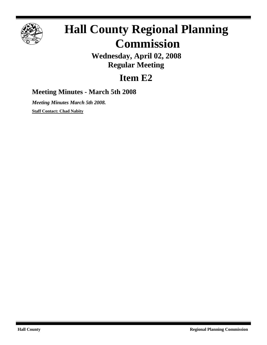

# **Hall County Regional Planning Commission**

**Wednesday, April 02, 2008 Regular Meeting**

## **Item E2**

### **Meeting Minutes - March 5th 2008**

*Meeting Minutes March 5th 2008.* **Staff Contact: Chad Nabity**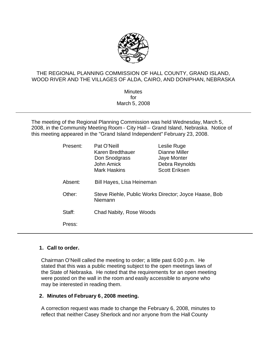

#### THE REGIONAL PLANNING COMMISSION OF HALL COUNTY, GRAND ISLAND, WOOD RIVER AND THE VILLAGES OF ALDA, CAIRO, AND DONIPHAN, NEBRASKA

**Minutes** for March 5, 2008

The meeting of the Regional Planning Commission was held Wednesday, March 5, 2008, in the Community Meeting Room - City Hall – Grand Island, Nebraska. Notice of this meeting appeared in the "Grand Island Independent" February 23, 2008.

| Present: | Pat O'Neill<br>Karen Bredthauer<br>Don Snodgrass<br>John Amick<br><b>Mark Haskins</b> | Leslie Ruge<br>Dianne Miller<br>Jaye Monter<br>Debra Reynolds<br><b>Scott Eriksen</b> |
|----------|---------------------------------------------------------------------------------------|---------------------------------------------------------------------------------------|
| Absent:  | Bill Hayes, Lisa Heineman                                                             |                                                                                       |
| Other:   | Steve Riehle, Public Works Director; Joyce Haase, Bob<br>Niemann                      |                                                                                       |
| Staff:   | Chad Nabity, Rose Woods                                                               |                                                                                       |
| Press:   |                                                                                       |                                                                                       |

#### **1. Call to order.**

Chairman O'Neill called the meeting to order; a little past 6:00 p.m. He stated that this was a public meeting subject to the open meetings laws of the State of Nebraska. He noted that the requirements for an open meeting were posted on the wall in the room and easily accessible to anyone who may be interested in reading them.

#### **2. Minutes of February 6, 2008 meeting.**

A correction request was made to change the February 6, 2008, minutes to reflect that neither Casey Sherlock and nor anyone from the Hall County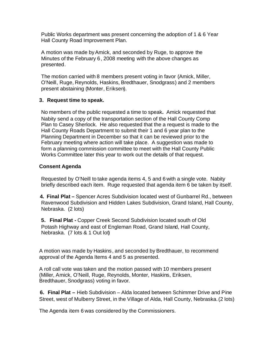Public Works department was present concerning the adoption of 1 & 6 Year Hall County Road Improvement Plan.

A motion was made byAmick, and seconded by Ruge, to approve the Minutes of the February 6, 2008 meeting with the above changes as presented.

The motion carried with 8 members present voting in favor (Amick, Miller, O'Neill, Ruge, Reynolds, Haskins, Bredthauer, Snodgrass) and 2 members present abstaining (Monter, Eriksen).

#### **3. Request time to speak.**

No members of the public requested a time to speak**.** Amick requested that Nabity send a copy of the transportation section of the Hall County Comp Plan to Casey Sherlock. He also requested that the a request is made to the Hall County Roads Department to submit their 1 and 6 year plan to the Planning Department in December so that it can be reviewed prior to the February meeting where action will take place. A suggestion was made to form a planning commission committee to meet with the Hall County Public Works Committee later this year to work out the details of that request.

#### **Consent Agenda**

Requested by O'Neill to take agenda items 4, 5 and 6 with a single vote. Nabity briefly described each item. Ruge requested that agenda item 6 be taken by itself.

**4. Final Plat –** Spencer Acres Subdivision located west of Gunbarrel Rd., between Ravenwood Subdivision and Hidden Lakes Subdivision, Grand Island, Hall County, Nebraska. (2 lots)

**5. Final Plat -** Copper Creek Second Subdivision located south of Old Potash Highway and east of Engleman Road, Grand Island, Hall County, Nebraska. (7 lots & 1 Out lot)

A motion was made by Haskins, and seconded by Bredthauer, to recommend approval of the Agenda Items 4 and 5 as presented.

A roll call vote was taken and the motion passed with 10 members present (Miller, Amick, O'Neill, Ruge, Reynolds, Monter, Haskins, Eriksen, Bredthauer, Snodgrass) voting in favor.

**6. Final Plat –** Hieb Subdivision – Alda located between Schimmer Drive and Pine Street, west of Mulberry Street, in the Village of Alda, Hall County, Nebraska. (2 lots)

The Agenda item 6 was considered by the Commissioners.